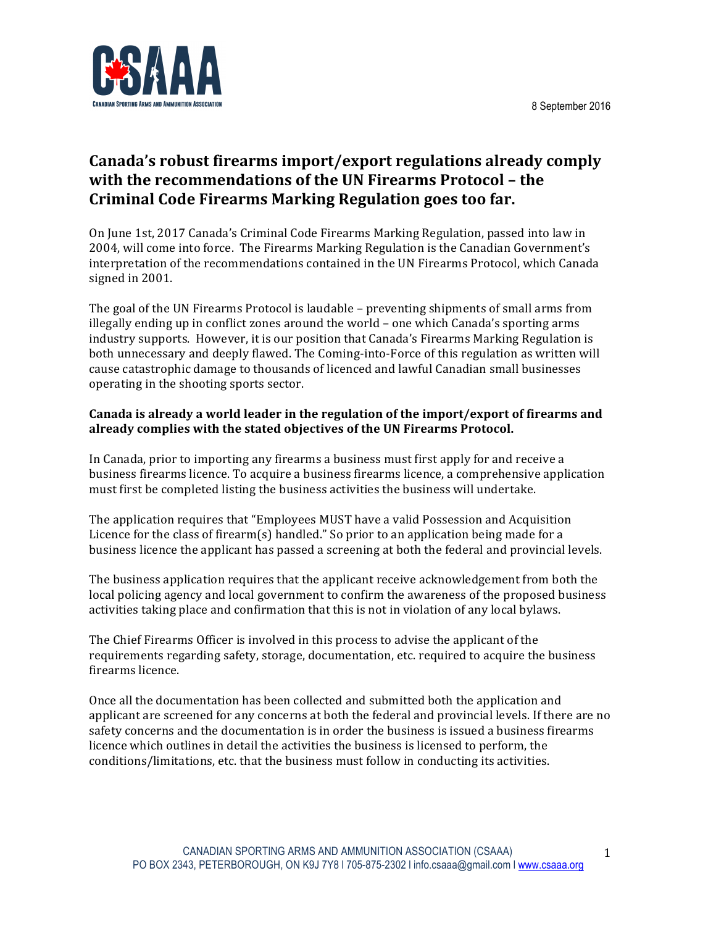

# Canada's robust firearms import/export regulations already comply **with the recommendations of the UN Firearms Protocol – the Criminal Code Firearms Marking Regulation goes too far.**

On June 1st, 2017 Canada's Criminal Code Firearms Marking Regulation, passed into law in 2004, will come into force. The Firearms Marking Regulation is the Canadian Government's interpretation of the recommendations contained in the UN Firearms Protocol, which Canada signed in 2001.

The goal of the UN Firearms Protocol is laudable – preventing shipments of small arms from illegally ending up in conflict zones around the world  $-$  one which Canada's sporting arms industry supports. However, it is our position that Canada's Firearms Marking Regulation is both unnecessary and deeply flawed. The Coming-into-Force of this regulation as written will cause catastrophic damage to thousands of licenced and lawful Canadian small businesses operating in the shooting sports sector.

#### Canada is already a world leader in the regulation of the import/export of firearms and already complies with the stated objectives of the UN Firearms Protocol.

In Canada, prior to importing any firearms a business must first apply for and receive a business firearms licence. To acquire a business firearms licence, a comprehensive application must first be completed listing the business activities the business will undertake.

The application requires that "Employees MUST have a valid Possession and Acquisition Licence for the class of firearm(s) handled." So prior to an application being made for a business licence the applicant has passed a screening at both the federal and provincial levels.

The business application requires that the applicant receive acknowledgement from both the local policing agency and local government to confirm the awareness of the proposed business activities taking place and confirmation that this is not in violation of any local bylaws.

The Chief Firearms Officer is involved in this process to advise the applicant of the requirements regarding safety, storage, documentation, etc. required to acquire the business firearms licence.

Once all the documentation has been collected and submitted both the application and applicant are screened for any concerns at both the federal and provincial levels. If there are no safety concerns and the documentation is in order the business is issued a business firearms licence which outlines in detail the activities the business is licensed to perform, the conditions/limitations, etc. that the business must follow in conducting its activities.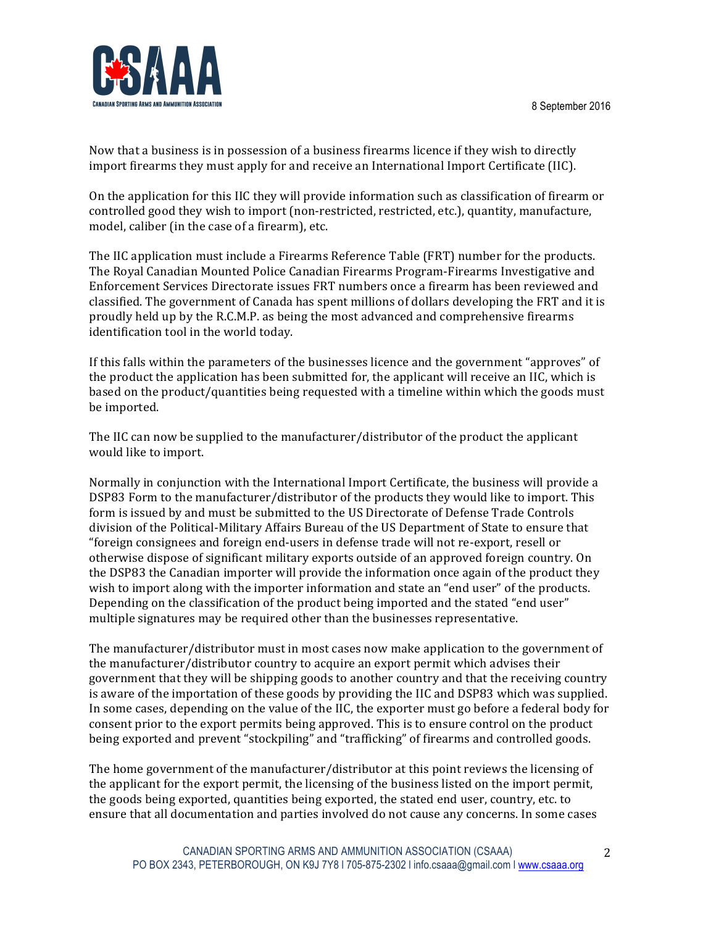

Now that a business is in possession of a business firearms licence if they wish to directly import firearms they must apply for and receive an International Import Certificate (IIC).

On the application for this IIC they will provide information such as classification of firearm or controlled good they wish to import (non-restricted, restricted, etc.), quantity, manufacture, model, caliber (in the case of a firearm), etc.

The IIC application must include a Firearms Reference Table (FRT) number for the products. The Royal Canadian Mounted Police Canadian Firearms Program-Firearms Investigative and Enforcement Services Directorate issues FRT numbers once a firearm has been reviewed and classified. The government of Canada has spent millions of dollars developing the FRT and it is proudly held up by the R.C.M.P. as being the most advanced and comprehensive firearms identification tool in the world today.

If this falls within the parameters of the businesses licence and the government "approves" of the product the application has been submitted for, the applicant will receive an IIC, which is based on the product/quantities being requested with a timeline within which the goods must be imported.

The IIC can now be supplied to the manufacturer/distributor of the product the applicant would like to import.

Normally in conjunction with the International Import Certificate, the business will provide a DSP83 Form to the manufacturer/distributor of the products they would like to import. This form is issued by and must be submitted to the US Directorate of Defense Trade Controls division of the Political-Military Affairs Bureau of the US Department of State to ensure that "foreign consignees and foreign end-users in defense trade will not re-export, resell or otherwise dispose of significant military exports outside of an approved foreign country. On the DSP83 the Canadian importer will provide the information once again of the product they wish to import along with the importer information and state an "end user" of the products. Depending on the classification of the product being imported and the stated "end user" multiple signatures may be required other than the businesses representative.

The manufacturer/distributor must in most cases now make application to the government of the manufacturer/distributor country to acquire an export permit which advises their government that they will be shipping goods to another country and that the receiving country is aware of the importation of these goods by providing the IIC and DSP83 which was supplied. In some cases, depending on the value of the IIC, the exporter must go before a federal body for consent prior to the export permits being approved. This is to ensure control on the product being exported and prevent "stockpiling" and "trafficking" of firearms and controlled goods.

The home government of the manufacturer/distributor at this point reviews the licensing of the applicant for the export permit, the licensing of the business listed on the import permit, the goods being exported, quantities being exported, the stated end user, country, etc. to ensure that all documentation and parties involved do not cause any concerns. In some cases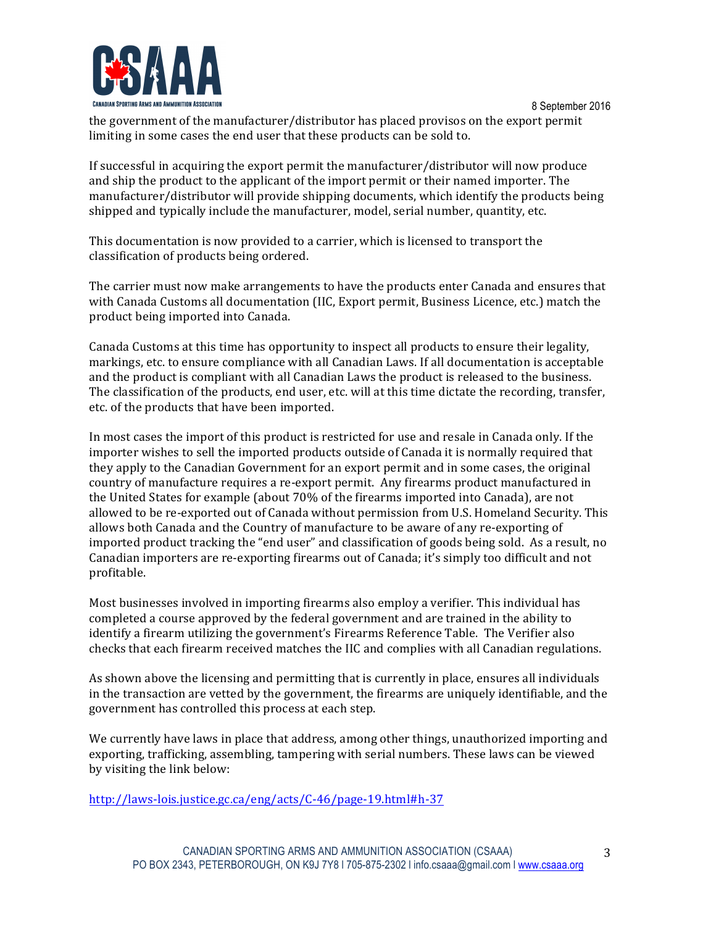

8 September 2016 the government of the manufacturer/distributor has placed provisos on the export permit limiting in some cases the end user that these products can be sold to.

If successful in acquiring the export permit the manufacturer/distributor will now produce and ship the product to the applicant of the import permit or their named importer. The manufacturer/distributor will provide shipping documents, which identify the products being shipped and typically include the manufacturer, model, serial number, quantity, etc.

This documentation is now provided to a carrier, which is licensed to transport the classification of products being ordered.

The carrier must now make arrangements to have the products enter Canada and ensures that with Canada Customs all documentation (IIC, Export permit, Business Licence, etc.) match the product being imported into Canada.

Canada Customs at this time has opportunity to inspect all products to ensure their legality, markings, etc. to ensure compliance with all Canadian Laws. If all documentation is acceptable and the product is compliant with all Canadian Laws the product is released to the business. The classification of the products, end user, etc. will at this time dictate the recording, transfer, etc. of the products that have been imported.

In most cases the import of this product is restricted for use and resale in Canada only. If the importer wishes to sell the imported products outside of Canada it is normally required that they apply to the Canadian Government for an export permit and in some cases, the original country of manufacture requires a re-export permit. Any firearms product manufactured in the United States for example (about 70% of the firearms imported into Canada), are not allowed to be re-exported out of Canada without permission from U.S. Homeland Security. This allows both Canada and the Country of manufacture to be aware of any re-exporting of imported product tracking the "end user" and classification of goods being sold. As a result, no Canadian importers are re-exporting firearms out of Canada; it's simply too difficult and not profitable. 

Most businesses involved in importing firearms also employ a verifier. This individual has completed a course approved by the federal government and are trained in the ability to identify a firearm utilizing the government's Firearms Reference Table. The Verifier also checks that each firearm received matches the IIC and complies with all Canadian regulations.

As shown above the licensing and permitting that is currently in place, ensures all individuals in the transaction are vetted by the government, the firearms are uniquely identifiable, and the government has controlled this process at each step.

We currently have laws in place that address, among other things, unauthorized importing and exporting, trafficking, assembling, tampering with serial numbers. These laws can be viewed by visiting the link below:

http://laws-lois.justice.gc.ca/eng/acts/C-46/page-19.html#h-37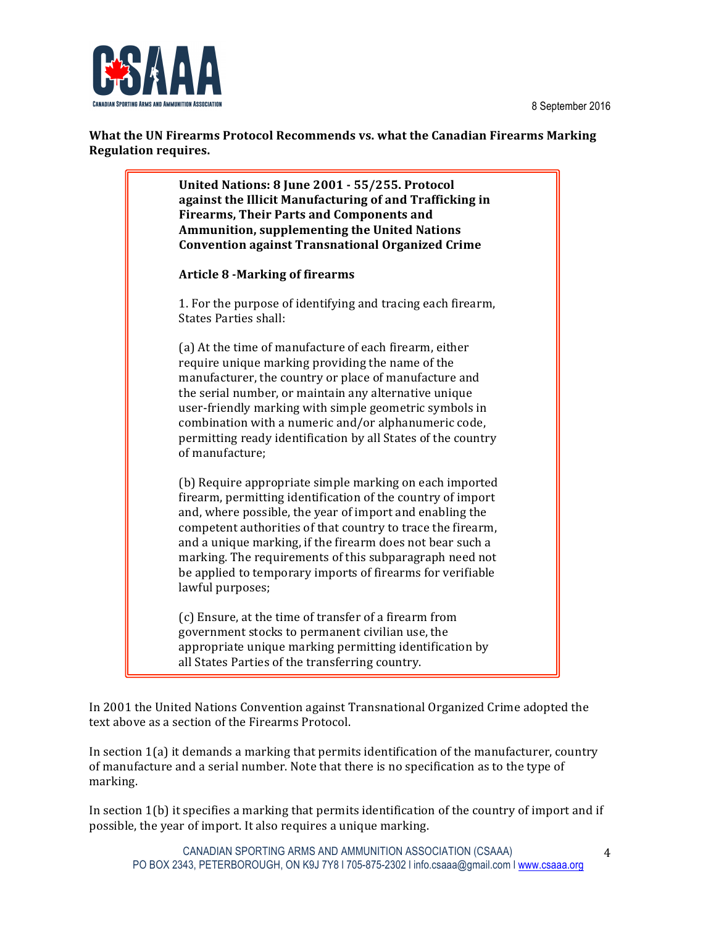8 September 2016



**What the UN Firearms Protocol Recommends vs. what the Canadian Firearms Marking Regulation requires.**

> **United Nations: 8 June 2001 - 55/255. Protocol**  against the Illicit Manufacturing of and Trafficking in **Firearms, Their Parts and Components and Ammunition, supplementing the United Nations Convention against Transnational Organized Crime** Article 8 -Marking of firearms 1. For the purpose of identifying and tracing each firearm, States Parties shall: (a) At the time of manufacture of each firearm, either require unique marking providing the name of the manufacturer, the country or place of manufacture and the serial number, or maintain any alternative unique user-friendly marking with simple geometric symbols in combination with a numeric and/or alphanumeric code, permitting ready identification by all States of the country of manufacture: (b) Require appropriate simple marking on each imported firearm, permitting identification of the country of import and, where possible, the year of import and enabling the competent authorities of that country to trace the firearm, and a unique marking, if the firearm does not bear such a marking. The requirements of this subparagraph need not be applied to temporary imports of firearms for verifiable lawful purposes;

(c) Ensure, at the time of transfer of a firearm from government stocks to permanent civilian use, the appropriate unique marking permitting identification by all States Parties of the transferring country.

In 2001 the United Nations Convention against Transnational Organized Crime adopted the text above as a section of the Firearms Protocol.

In section  $1(a)$  it demands a marking that permits identification of the manufacturer, country of manufacture and a serial number. Note that there is no specification as to the type of marking.

In section  $1(b)$  it specifies a marking that permits identification of the country of import and if possible, the year of import. It also requires a unique marking.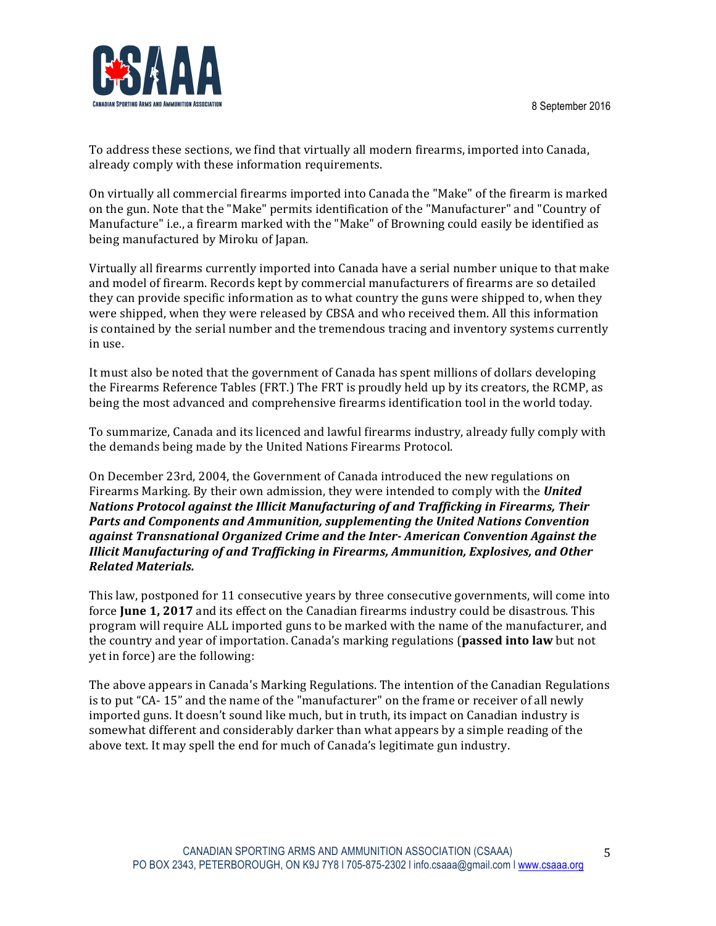

To address these sections, we find that virtually all modern firearms, imported into Canada, already comply with these information requirements.

On virtually all commercial firearms imported into Canada the "Make" of the firearm is marked on the gun. Note that the "Make" permits identification of the "Manufacturer" and "Country of Manufacture" i.e., a firearm marked with the "Make" of Browning could easily be identified as being manufactured by Miroku of Japan.

Virtually all firearms currently imported into Canada have a serial number unique to that make and model of firearm. Records kept by commercial manufacturers of firearms are so detailed they can provide specific information as to what country the guns were shipped to, when they were shipped, when they were released by CBSA and who received them. All this information is contained by the serial number and the tremendous tracing and inventory systems currently in use. 

It must also be noted that the government of Canada has spent millions of dollars developing the Firearms Reference Tables (FRT.) The FRT is proudly held up by its creators, the RCMP, as being the most advanced and comprehensive firearms identification tool in the world today.

To summarize, Canada and its licenced and lawful firearms industry, already fully comply with the demands being made by the United Nations Firearms Protocol.

On December 23rd, 2004, the Government of Canada introduced the new regulations on Firearms Marking. By their own admission, they were intended to comply with the **United** *Nations Protocol against the Illicit Manufacturing of and Trafficking in Firearms, Their* **Parts and Components and Ammunition, supplementing the United Nations Convention** *against Transnational Organized Crime and the Inter- American Convention Against the Illicit Manufacturing of and Trafficking in Firearms, Ammunition, Explosives, and Other Related Materials.* 

This law, postponed for 11 consecutive years by three consecutive governments, will come into force **June 1, 2017** and its effect on the Canadian firearms industry could be disastrous. This program will require ALL imported guns to be marked with the name of the manufacturer, and the country and year of importation. Canada's marking regulations (**passed into law** but not yet in force) are the following:

The above appears in Canada's Marking Regulations. The intention of the Canadian Regulations is to put "CA- 15" and the name of the "manufacturer" on the frame or receiver of all newly imported guns. It doesn't sound like much, but in truth, its impact on Canadian industry is somewhat different and considerably darker than what appears by a simple reading of the above text. It may spell the end for much of Canada's legitimate gun industry.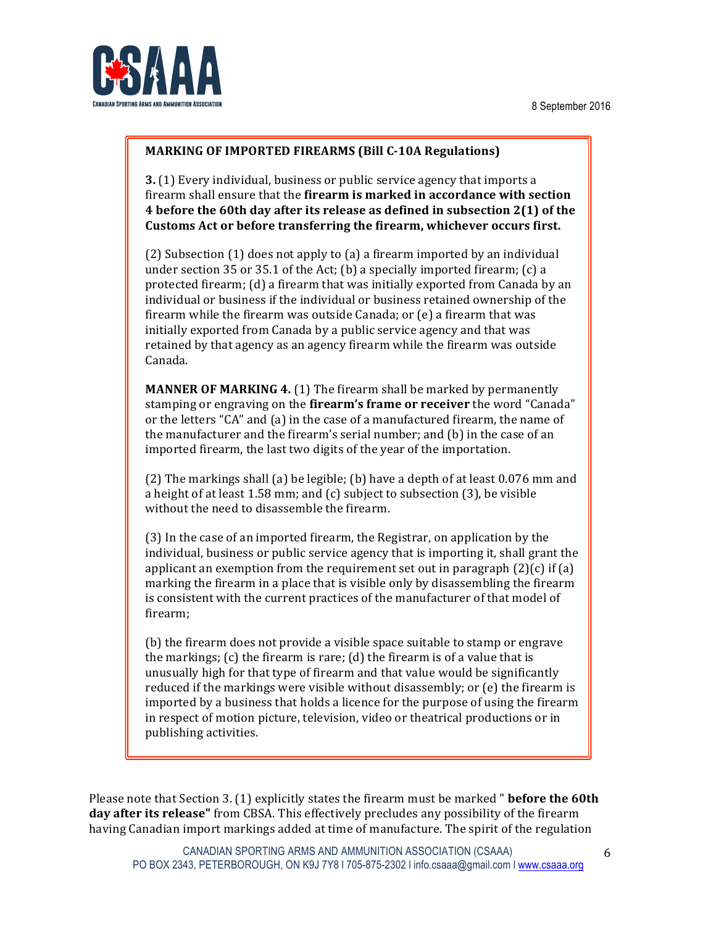

#### **MARKING OF IMPORTED FIREARMS (Bill C-10A Regulations)**

**3.** (1) Every individual, business or public service agency that imports a firearm shall ensure that the **firearm is marked in accordance with section 4** before the 60th day after its release as defined in subsection 2(1) of the Customs Act or before transferring the firearm, whichever occurs first.

(2) Subsection (1) does not apply to (a) a firearm imported by an individual under section  $35$  or  $35.1$  of the Act; (b) a specially imported firearm; (c) a protected firearm; (d) a firearm that was initially exported from Canada by an individual or business if the individual or business retained ownership of the firearm while the firearm was outside Canada; or  $(e)$  a firearm that was initially exported from Canada by a public service agency and that was retained by that agency as an agency firearm while the firearm was outside Canada. 

**MANNER OF MARKING 4.** (1) The firearm shall be marked by permanently stamping or engraving on the firearm's frame or receiver the word "Canada" or the letters " $CA$ " and  $(a)$  in the case of a manufactured firearm, the name of the manufacturer and the firearm's serial number; and  $(b)$  in the case of an imported firearm, the last two digits of the year of the importation.

(2) The markings shall (a) be legible; (b) have a depth of at least 0.076 mm and a height of at least  $1.58$  mm; and  $(c)$  subject to subsection  $(3)$ , be visible without the need to disassemble the firearm.

(3) In the case of an imported firearm, the Registrar, on application by the individual, business or public service agency that is importing it, shall grant the applicant an exemption from the requirement set out in paragraph  $(2)(c)$  if  $(a)$ marking the firearm in a place that is visible only by disassembling the firearm is consistent with the current practices of the manufacturer of that model of firearm; 

(b) the firearm does not provide a visible space suitable to stamp or engrave the markings;  $(c)$  the firearm is rare;  $(d)$  the firearm is of a value that is unusually high for that type of firearm and that value would be significantly reduced if the markings were visible without disassembly; or  $(e)$  the firearm is imported by a business that holds a licence for the purpose of using the firearm in respect of motion picture, television, video or theatrical productions or in publishing activities.

Please note that Section 3. (1) explicitly states the firearm must be marked " **before the 60th day after its release"** from CBSA. This effectively precludes any possibility of the firearm having Canadian import markings added at time of manufacture. The spirit of the regulation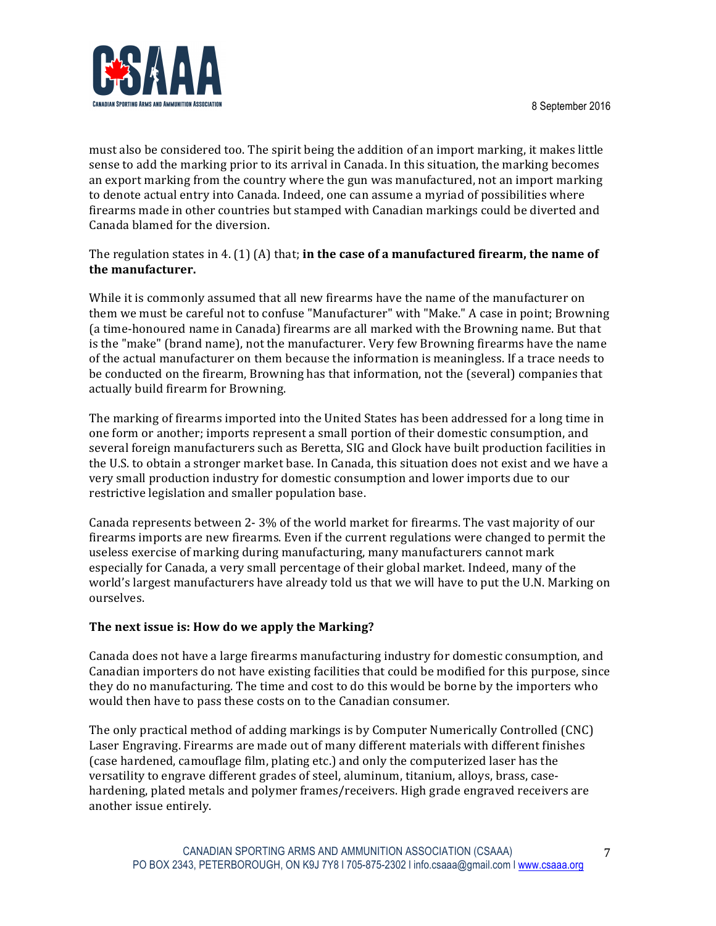

must also be considered too. The spirit being the addition of an import marking, it makes little sense to add the marking prior to its arrival in Canada. In this situation, the marking becomes an export marking from the country where the gun was manufactured, not an import marking to denote actual entry into Canada. Indeed, one can assume a myriad of possibilities where firearms made in other countries but stamped with Canadian markings could be diverted and Canada blamed for the diversion.

## The regulation states in 4. (1) (A) that; **in the case of a manufactured firearm, the name of the manufacturer.**

While it is commonly assumed that all new firearms have the name of the manufacturer on them we must be careful not to confuse "Manufacturer" with "Make." A case in point; Browning (a time-honoured name in Canada) firearms are all marked with the Browning name. But that is the "make" (brand name), not the manufacturer. Very few Browning firearms have the name of the actual manufacturer on them because the information is meaningless. If a trace needs to be conducted on the firearm, Browning has that information, not the (several) companies that actually build firearm for Browning.

The marking of firearms imported into the United States has been addressed for a long time in one form or another; imports represent a small portion of their domestic consumption, and several foreign manufacturers such as Beretta, SIG and Glock have built production facilities in the U.S. to obtain a stronger market base. In Canada, this situation does not exist and we have a very small production industry for domestic consumption and lower imports due to our restrictive legislation and smaller population base.

Canada represents between 2-3% of the world market for firearms. The vast majority of our firearms imports are new firearms. Even if the current regulations were changed to permit the useless exercise of marking during manufacturing, many manufacturers cannot mark especially for Canada, a very small percentage of their global market. Indeed, many of the world's largest manufacturers have already told us that we will have to put the U.N. Marking on ourselves. 

## The next issue is: How do we apply the Marking?

Canada does not have a large firearms manufacturing industry for domestic consumption, and Canadian importers do not have existing facilities that could be modified for this purpose, since they do no manufacturing. The time and cost to do this would be borne by the importers who would then have to pass these costs on to the Canadian consumer.

The only practical method of adding markings is by Computer Numerically Controlled (CNC) Laser Engraving. Firearms are made out of many different materials with different finishes (case hardened, camouflage film, plating etc.) and only the computerized laser has the versatility to engrave different grades of steel, aluminum, titanium, alloys, brass, casehardening, plated metals and polymer frames/receivers. High grade engraved receivers are another issue entirely.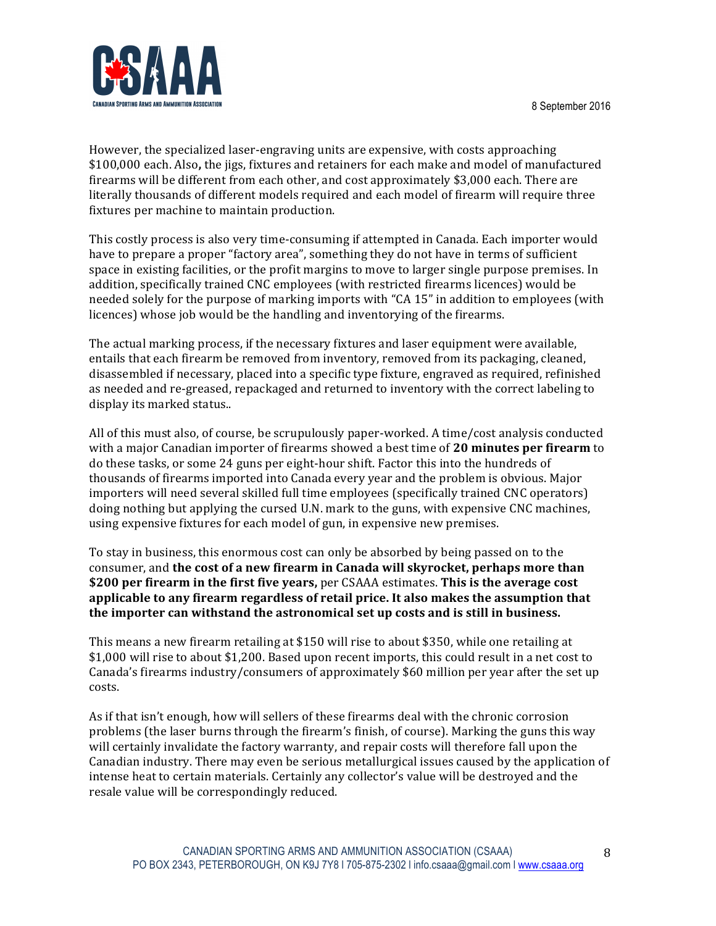

However, the specialized laser-engraving units are expensive, with costs approaching \$100,000 each. Also, the jigs, fixtures and retainers for each make and model of manufactured firearms will be different from each other, and cost approximately \$3,000 each. There are literally thousands of different models required and each model of firearm will require three fixtures per machine to maintain production.

This costly process is also very time-consuming if attempted in Canada. Each importer would have to prepare a proper "factory area", something they do not have in terms of sufficient space in existing facilities, or the profit margins to move to larger single purpose premises. In addition, specifically trained CNC employees (with restricted firearms licences) would be needed solely for the purpose of marking imports with "CA 15" in addition to employees (with licences) whose job would be the handling and inventorying of the firearms.

The actual marking process, if the necessary fixtures and laser equipment were available, entails that each firearm be removed from inventory, removed from its packaging, cleaned, disassembled if necessary, placed into a specific type fixture, engraved as required, refinished as needed and re-greased, repackaged and returned to inventory with the correct labeling to display its marked status..

All of this must also, of course, be scrupulously paper-worked. A time/cost analysis conducted with a major Canadian importer of firearms showed a best time of 20 minutes per firearm to do these tasks, or some 24 guns per eight-hour shift. Factor this into the hundreds of thousands of firearms imported into Canada every year and the problem is obvious. Major importers will need several skilled full time employees (specifically trained CNC operators) doing nothing but applying the cursed U.N. mark to the guns, with expensive CNC machines, using expensive fixtures for each model of gun, in expensive new premises.

To stay in business, this enormous cost can only be absorbed by being passed on to the consumer, and **the cost of a new firearm in Canada will skyrocket, perhaps more than \$200** per firearm in the first five years, per CSAAA estimates. This is the average cost applicable to any firearm regardless of retail price. It also makes the assumption that the importer can withstand the astronomical set up costs and is still in business.

This means a new firearm retailing at \$150 will rise to about \$350, while one retailing at \$1,000 will rise to about \$1,200. Based upon recent imports, this could result in a net cost to Canada's firearms industry/consumers of approximately \$60 million per year after the set up costs. 

As if that isn't enough, how will sellers of these firearms deal with the chronic corrosion problems (the laser burns through the firearm's finish, of course). Marking the guns this way will certainly invalidate the factory warranty, and repair costs will therefore fall upon the Canadian industry. There may even be serious metallurgical issues caused by the application of intense heat to certain materials. Certainly any collector's value will be destroyed and the resale value will be correspondingly reduced.